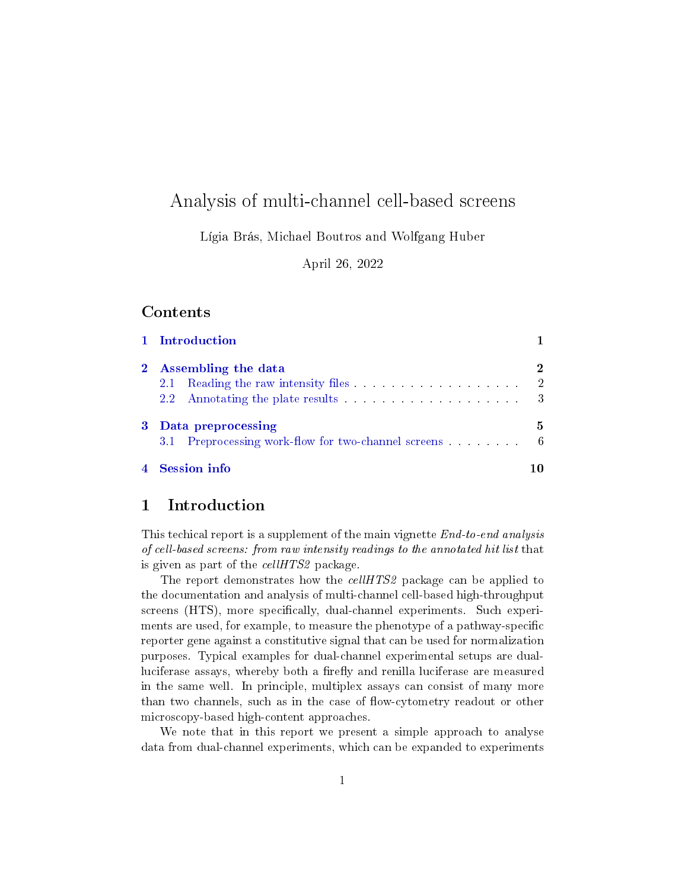# Analysis of multi-channel cell-based screens

Lígia Brás, Michael Boutros and Wolfgang Huber

April 26, 2022

#### Contents

|   | 1 Introduction        |    |
|---|-----------------------|----|
|   | 2 Assembling the data |    |
|   | 2.1                   |    |
|   |                       |    |
| 3 | Data preprocessing    | 5. |
|   |                       |    |
|   | <b>Session info</b>   |    |

## <span id="page-0-0"></span>1 Introduction

This techical report is a supplement of the main vignette *End-to-end analysis* of cell-based screens: from raw intensity readings to the annotated hit list that is given as part of the cellHTS2 package.

The report demonstrates how the *cellHTS2* package can be applied to the documentation and analysis of multi-channel cell-based high-throughput screens (HTS), more specifically, dual-channel experiments. Such experiments are used, for example, to measure the phenotype of a pathway-specific reporter gene against a constitutive signal that can be used for normalization purposes. Typical examples for dual-channel experimental setups are dualluciferase assays, whereby both a firefly and renilla luciferase are measured in the same well. In principle, multiplex assays can consist of many more than two channels, such as in the case of flow-cytometry readout or other microscopy-based high-content approaches.

We note that in this report we present a simple approach to analyse data from dual-channel experiments, which can be expanded to experiments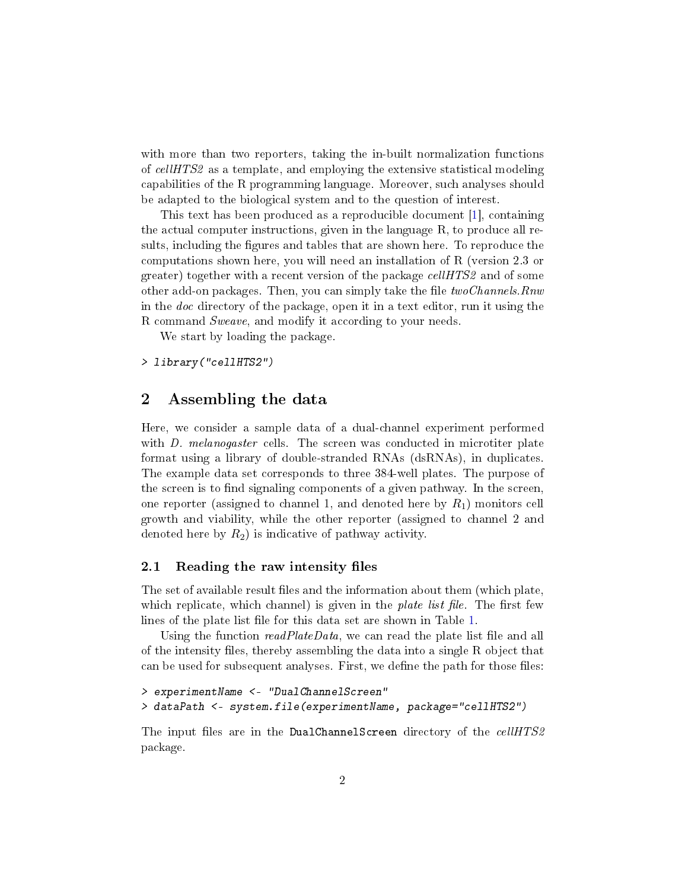<span id="page-1-2"></span>with more than two reporters, taking the in-built normalization functions of cellHTS2 as a template, and employing the extensive statistical modeling capabilities of the R programming language. Moreover, such analyses should be adapted to the biological system and to the question of interest.

This text has been produced as a reproducible document [\[1\]](#page-10-0), containing the actual computer instructions, given in the language R, to produce all results, including the figures and tables that are shown here. To reproduce the computations shown here, you will need an installation of R (version 2.3 or greater) together with a recent version of the package *cellHTS2* and of some other add-on packages. Then, you can simply take the file  $two Channels$ . Rnw in the doc directory of the package, open it in a text editor, run it using the R command Sweave, and modify it according to your needs.

We start by loading the package.

> library("cellHTS2")

### <span id="page-1-0"></span>2 Assembling the data

Here, we consider a sample data of a dual-channel experiment performed with *D. melanogaster* cells. The screen was conducted in microtiter plate format using a library of double-stranded RNAs (dsRNAs), in duplicates. The example data set corresponds to three 384-well plates. The purpose of the screen is to find signaling components of a given pathway. In the screen, one reporter (assigned to channel 1, and denoted here by  $R_1$ ) monitors cell growth and viability, while the other reporter (assigned to channel 2 and denoted here by  $R_2$ ) is indicative of pathway activity.

#### <span id="page-1-1"></span>2.1 Reading the raw intensity files

The set of available result files and the information about them (which plate, which replicate, which channel) is given in the *plate list file*. The first few lines of the plate list file for this data set are shown in Table [1.](#page-2-1)

Using the function  $read PlateData$ , we can read the plate list file and all of the intensity les, thereby assembling the data into a single R object that can be used for subsequent analyses. First, we define the path for those files:

```
> experimentName <- "DualChannelScreen"
> dataPath <- system.file(experimentName, package="cellHTS2")
```
The input files are in the DualChannelScreen directory of the cellHTS2 package.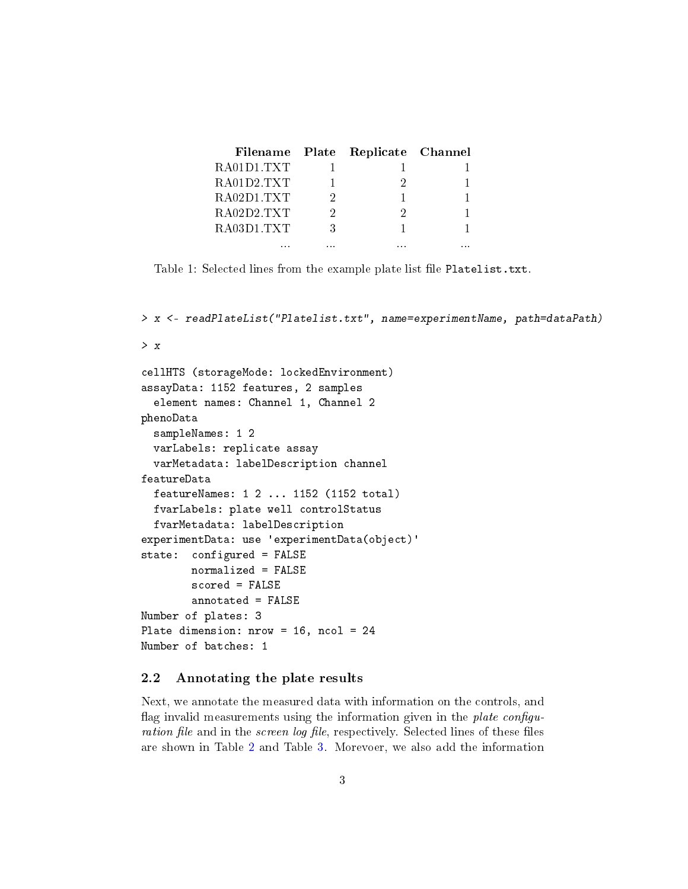|            |   | Filename Plate Replicate Channel |  |
|------------|---|----------------------------------|--|
| RA01D1 TXT |   |                                  |  |
| RA01D2 TXT |   |                                  |  |
| RA02D1TXT  |   |                                  |  |
| RA02D2 TXT | 9 |                                  |  |
| RA03D1 TXT | ર |                                  |  |
| .          | . | .                                |  |

<span id="page-2-1"></span>Table 1: Selected lines from the example plate list file Platelist.txt.

```
> x <- readPlateList("Platelist.txt", name=experimentName, path=dataPath)
> x
cellHTS (storageMode: lockedEnvironment)
assayData: 1152 features, 2 samples
  element names: Channel 1, Channel 2
phenoData
  sampleNames: 1 2
  varLabels: replicate assay
  varMetadata: labelDescription channel
featureData
  featureNames: 1 2 ... 1152 (1152 total)
  fvarLabels: plate well controlStatus
  fvarMetadata: labelDescription
experimentData: use 'experimentData(object)'
state: configured = FALSE
        normalized = FALSE
        scored = FALSE
        annotated = FALSE
Number of plates: 3
Plate dimension: nrow = 16, ncol = 24
Number of batches: 1
```
#### <span id="page-2-0"></span>2.2 Annotating the plate results

Next, we annotate the measured data with information on the controls, and flag invalid measurements using the information given in the plate configuration file and in the *screen log file*, respectively. Selected lines of these files are shown in Table [2](#page-3-0) and Table [3.](#page-3-1) Morevoer, we also add the information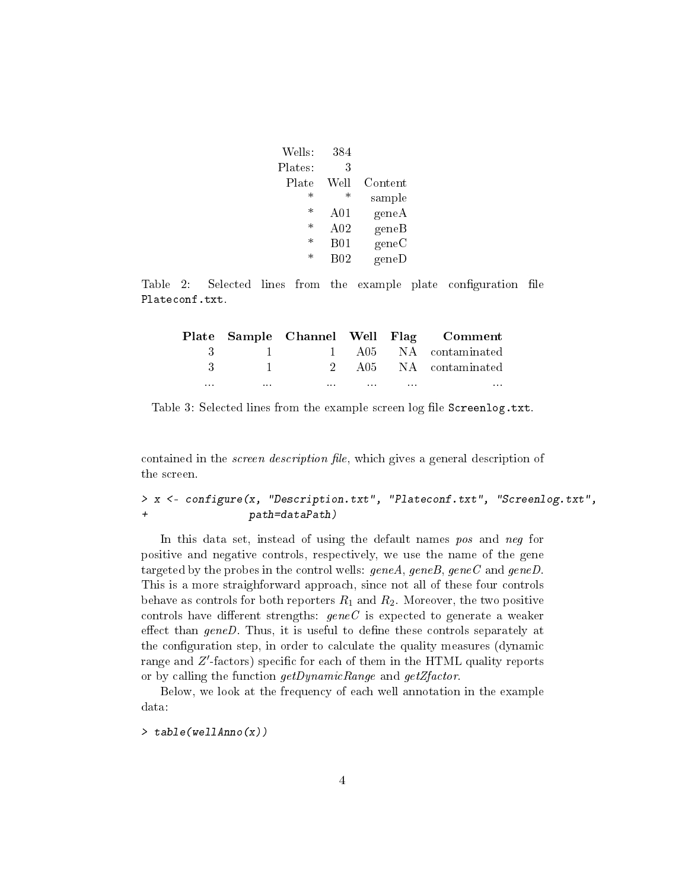|         | 384             | Wells:  |
|---------|-----------------|---------|
|         | 3               | Plates: |
| Content | Well            | Plate   |
| sample  | $^\ast$         | $^\ast$ |
| geneA   | A01             | $\ast$  |
| geneB   | A <sub>02</sub> | $\ast$  |
| geneC   | <b>B01</b>      | $\ast$  |
| geneD   | B <sub>02</sub> | $\ast$  |
|         |                 |         |

Table 2: Selected lines from the example plate configuration file Plateconf.txt.

<span id="page-3-0"></span>

| Plate Sample Channel Well Flag Comment                      |                                                             |          |                      |
|-------------------------------------------------------------|-------------------------------------------------------------|----------|----------------------|
| 3 1 1 A05 NA contaminated                                   |                                                             |          |                      |
| $3 \qquad 1 \qquad 2 \qquad 405 \qquad NA \qquad contained$ |                                                             |          |                      |
| $\mathbf{r}$                                                | the property of the company's company's company's company's | $\cdots$ | $\sim$ $\sim$ $\sim$ |

<span id="page-3-1"></span>Table 3: Selected lines from the example screen log file Screenlog.txt.

contained in the *screen description file*, which gives a general description of the screen.

> x <- configure(x, "Description.txt", "Plateconf.txt", "Screenlog.txt", + path=dataPath)

In this data set, instead of using the default names pos and neg for positive and negative controls, respectively, we use the name of the gene targeted by the probes in the control wells:  $geneA, geneB, geneC$  and  $geneD$ . This is a more straighforward approach, since not all of these four controls behave as controls for both reporters  $R_1$  and  $R_2$ . Moreover, the two positive controls have different strengths:  $geneC$  is expected to generate a weaker effect than  $geneD$ . Thus, it is useful to define these controls separately at the configuration step, in order to calculate the quality measures (dynamic range and  $Z'$ -factors) specific for each of them in the HTML quality reports or by calling the function getDynamicRange and getZfactor.

Below, we look at the frequency of each well annotation in the example data:

> table(wellAnno(x))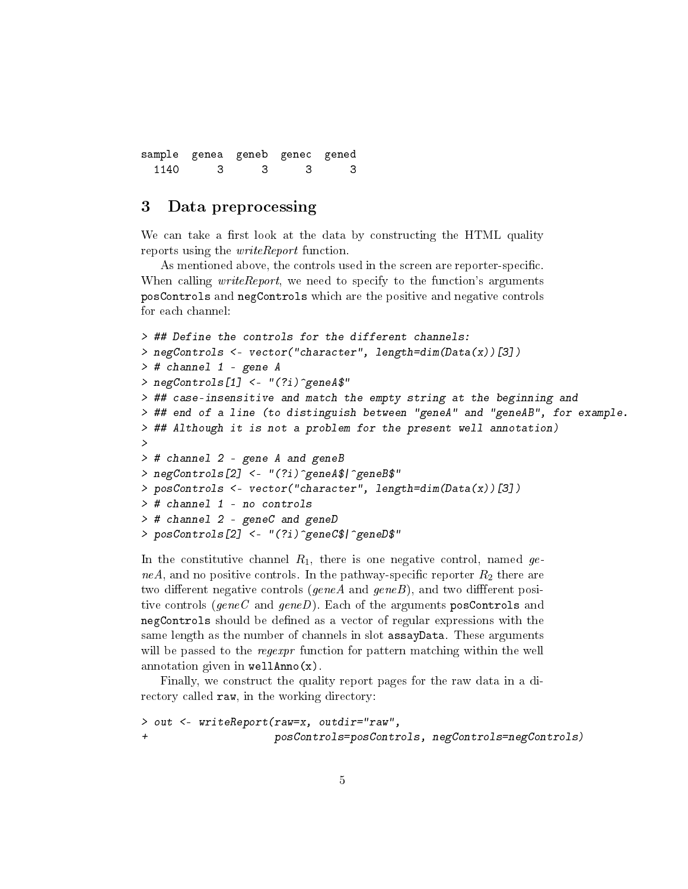sample genea geneb genec gened 1140 3 3 3 3

### <span id="page-4-0"></span>3 Data preprocessing

We can take a first look at the data by constructing the HTML quality reports using the *writeReport* function.

As mentioned above, the controls used in the screen are reporter-specific. When calling *writeReport*, we need to specify to the function's arguments posControls and negControls which are the positive and negative controls for each channel:

```
> ## Define the controls for the different channels:
> negControls <- vector("character", length=dim(Data(x))[3])
> # channel 1 - gene A
> negControls[1] <- "(?i)^geneA$"
> ## case-insensitive and match the empty string at the beginning and
> ## end of a line (to distinguish between "geneA" and "geneAB", for example.
> ## Although it is not a problem for the present well annotation)
>
> # channel 2 - gene A and geneB
> negControls[2] <- "(?i)^geneA$|^geneB$"
> posControls <- vector("character", length=dim(Data(x))[3])
> # channel 1 - no controls
> # channel 2 - geneC and geneD
> posControls[2] <- "(?i)^geneC$|^geneD$"
```
In the constitutive channel  $R_1$ , there is one negative control, named geneA, and no positive controls. In the pathway-specific reporter  $R_2$  there are two different negative controls ( $\varrho$ eneA and  $\varrho$ eneB), and two different positive controls (geneC and geneD). Each of the arguments posControls and negControls should be defined as a vector of regular expressions with the same length as the number of channels in slot assayData. These arguments will be passed to the regexpr function for pattern matching within the well annotation given in wellAnno(x).

Finally, we construct the quality report pages for the raw data in a directory called raw, in the working directory:

```
> out <- writeReport(raw=x, outdir="raw",
+ posControls=posControls, negControls=negControls)
```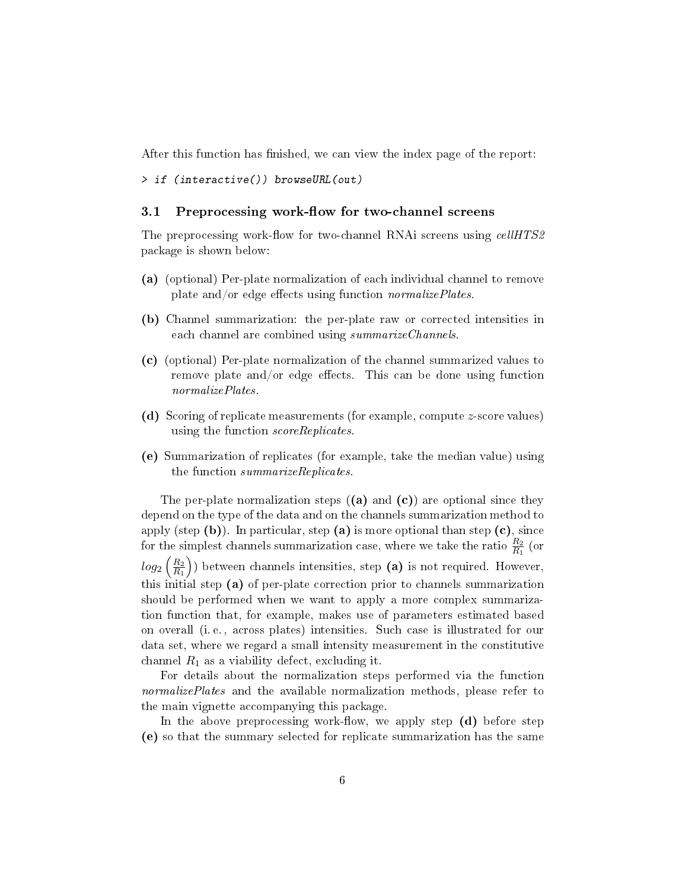After this function has finished, we can view the index page of the report:

```
> if (interactive()) browseURL(out)
```
#### <span id="page-5-0"></span>3.1 Preprocessing work-flow for two-channel screens

The preprocessing work-flow for two-channel RNAi screens using cellHTS2 package is shown below:

- (a) (optional) Per-plate normalization of each individual channel to remove plate and/or edge effects using function *normalizePlates*.
- (b) Channel summarization: the per-plate raw or corrected intensities in each channel are combined using summarize Channels.
- (c) (optional) Per-plate normalization of the channel summarized values to remove plate and/or edge effects. This can be done using function normalizePlates.
- (d) Scoring of replicate measurements (for example, compute z-score values) using the function scoreReplicates.
- (e) Summarization of replicates (for example, take the median value) using the function summarizeReplicates.

The per-plate normalization steps  $( (a)$  and  $( c) )$  are optional since they depend on the type of the data and on the channels summarization method to apply (step  $(b)$ ). In particular, step  $(a)$  is more optional than step  $(c)$ , since for the simplest channels summarization case, where we take the ratio  $\frac{R_2}{R_1}$  (or  $log_2\left(\frac{R_2}{R_1}\right)$  $R_1$  ) between channels intensities, step (a) is not required. However, this initial step (a) of per-plate correction prior to channels summarization should be performed when we want to apply a more complex summarization function that, for example, makes use of parameters estimated based on overall (i. e. , across plates) intensities. Such case is illustrated for our data set, where we regard a small intensity measurement in the constitutive channel  $R_1$  as a viability defect, excluding it.

For details about the normalization steps performed via the function normalizePlates and the available normalization methods, please refer to the main vignette accompanying this package.

In the above preprocessing work-flow, we apply step  $(d)$  before step (e) so that the summary selected for replicate summarization has the same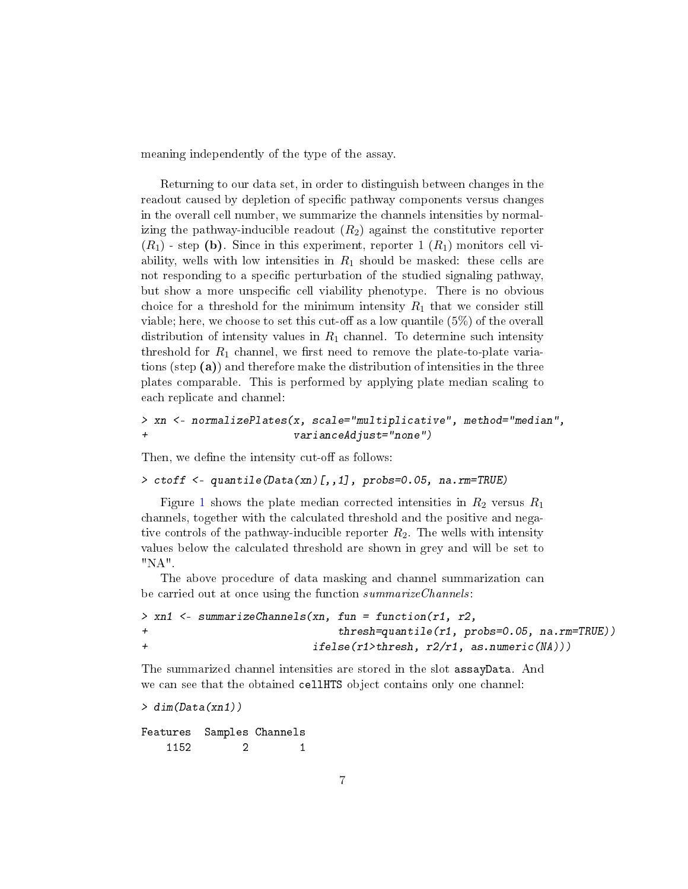meaning independently of the type of the assay.

Returning to our data set, in order to distinguish between changes in the readout caused by depletion of specific pathway components versus changes in the overall cell number, we summarize the channels intensities by normalizing the pathway-inducible readout  $(R_2)$  against the constitutive reporter  $(R_1)$  - step (b). Since in this experiment, reporter 1  $(R_1)$  monitors cell viability, wells with low intensities in  $R_1$  should be masked: these cells are not responding to a specific perturbation of the studied signaling pathway, but show a more unspecific cell viability phenotype. There is no obvious choice for a threshold for the minimum intensity  $R_1$  that we consider still viable; here, we choose to set this cut-off as a low quantile  $(5\%)$  of the overall distribution of intensity values in  $R_1$  channel. To determine such intensity threshold for  $R_1$  channel, we first need to remove the plate-to-plate variations (step (a)) and therefore make the distribution of intensities in the three plates comparable. This is performed by applying plate median scaling to each replicate and channel:

#### > xn <- normalizePlates(x, scale="multiplicative", method="median", + varianceAdjust="none")

Then, we define the intensity cut-off as follows:

```
> ctoff <- quantile(Data(xn)[,,1], probs=0.05, na.rm=TRUE)
```
Figure [1](#page-7-0) shows the plate median corrected intensities in  $R_2$  versus  $R_1$ channels, together with the calculated threshold and the positive and negative controls of the pathway-inducible reporter  $R_2$ . The wells with intensity values below the calculated threshold are shown in grey and will be set to "NA".

The above procedure of data masking and channel summarization can be carried out at once using the function summarize Channels:

```
> xn1 <- summarizeChannels(xn, fun = function(r1, r2,
+ thresh=quantile(r1, probs=0.05, na.rm=TRUE))
+ ifelse(r1>thresh, r2/r1, as.numeric(NA)))
```
The summarized channel intensities are stored in the slot assayData. And we can see that the obtained cellHTS object contains only one channel:

```
> dim(Data(xn1))
```
Features Samples Channels 1152 2 1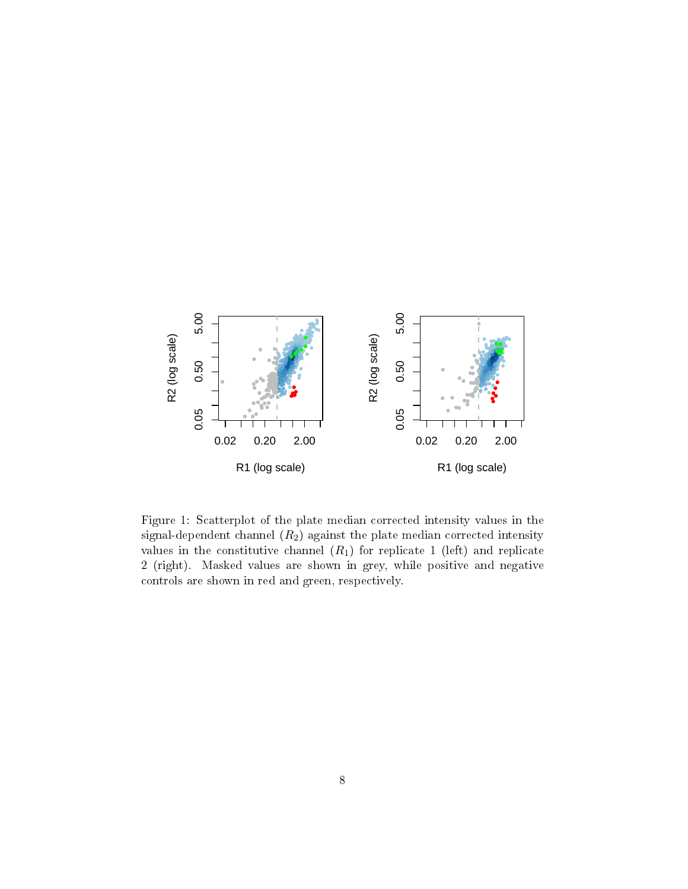

<span id="page-7-0"></span>Figure 1: Scatterplot of the plate median corrected intensity values in the signal-dependent channel  $(R_2)$  against the plate median corrected intensity values in the constitutive channel  $(R_1)$  for replicate 1 (left) and replicate 2 (right). Masked values are shown in grey, while positive and negative controls are shown in red and green, respectively.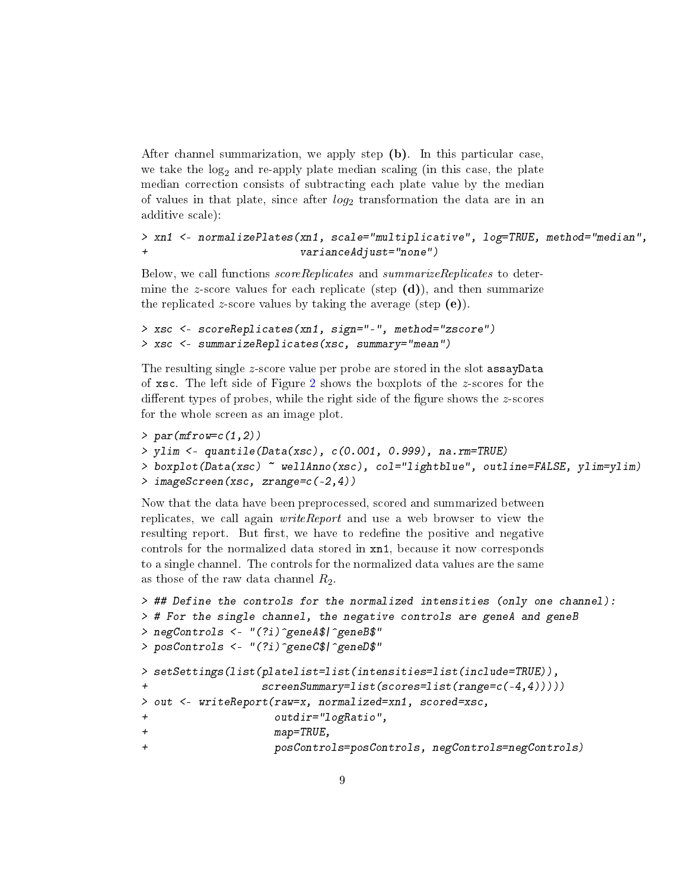After channel summarization, we apply step (b). In this particular case, we take the  $log<sub>2</sub>$  and re-apply plate median scaling (in this case, the plate median correction consists of subtracting each plate value by the median of values in that plate, since after  $log_2$  transformation the data are in an additive scale):

```
> xn1 <- normalizePlates(xn1, scale="multiplicative", log=TRUE, method="median",
+ varianceAdjust="none")
```
Below, we call functions scoreReplicates and summarizeReplicates to determine the z-score values for each replicate (step  $(d)$ ), and then summarize the replicated z-score values by taking the average (step  $(e)$ ).

```
> xsc <- scoreReplicates(xn1, sign="-", method="zscore")
> xsc <- summarizeReplicates(xsc, summary="mean")
```
The resulting single z-score value per probe are stored in the slot assayData of xsc. The left side of Figure [2](#page-9-1) shows the boxplots of the z-scores for the different types of probes, while the right side of the figure shows the  $z$ -scores for the whole screen as an image plot.

```
> par(mfrow=c(1,2))> ylim <- quantile(Data(xsc), c(0.001, 0.999), na.rm=TRUE)
> boxplot(Data(xsc) ~ wellAnno(xsc), col="lightblue", outline=FALSE, ylim=ylim)
> imageScreen(xsc, zrange=c(-2,4))
```
Now that the data have been preprocessed, scored and summarized between replicates, we call again *writeReport* and use a web browser to view the resulting report. But first, we have to redefine the positive and negative controls for the normalized data stored in xn1, because it now corresponds to a single channel. The controls for the normalized data values are the same as those of the raw data channel  $R_2$ .

```
> ## Define the controls for the normalized intensities (only one channel):
> # For the single channel, the negative controls are geneA and geneB
> negControls <- "(?i)^geneA$|^geneB$"
> posControls <- "(?i)^geneC$|^geneD$"
> setSettings(list(platelist=list(intensities=list(include=TRUE)),
+ screenSummary=list(scores=list(range=c(-4,4)))))
> out <- writeReport(raw=x, normalized=xn1, scored=xsc,
                   outdir="logRatio",
+ map=TRUE,
+ posControls=posControls, negControls=negControls)
```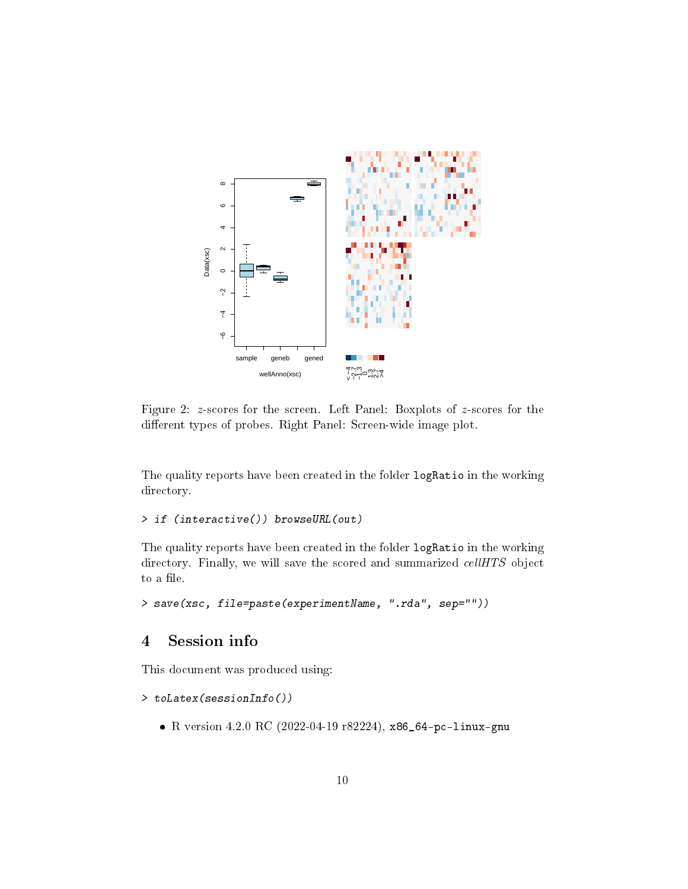

<span id="page-9-1"></span>Figure 2: z-scores for the screen. Left Panel: Boxplots of z-scores for the different types of probes. Right Panel: Screen-wide image plot.

The quality reports have been created in the folder logRatio in the working directory.

```
> if (interactive()) browseURL(out)
```
The quality reports have been created in the folder logRatio in the working directory. Finally, we will save the scored and summarized *cellHTS* object to a file.

```
> save(xsc, file=paste(experimentName, ".rda", sep=""))
```
# <span id="page-9-0"></span>4 Session info

This document was produced using:

```
> toLatex(sessionInfo())
```
R version 4.2.0 RC (2022-04-19 r82224), x86\_64-pc-linux-gnu